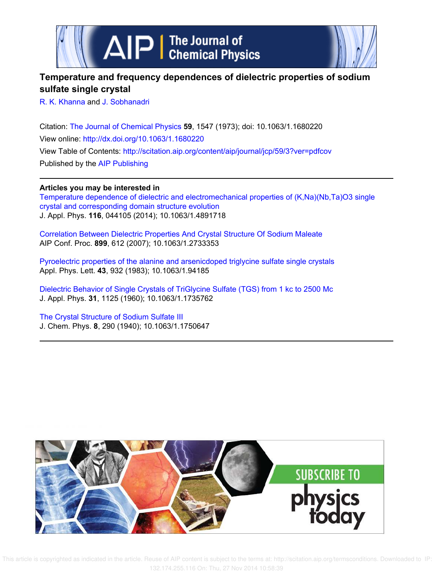



## **Temperature and frequency dependences of dielectric properties of sodium sulfate single crystal**

R. K. Khanna and J. Sobhanadri

Citation: The Journal of Chemical Physics **59**, 1547 (1973); doi: 10.1063/1.1680220 View online: http://dx.doi.org/10.1063/1.1680220 View Table of Contents: http://scitation.aip.org/content/aip/journal/jcp/59/3?ver=pdfcov Published by the AIP Publishing

**Articles you may be interested in**

Temperature dependence of dielectric and electromechanical properties of (K,Na)(Nb,Ta)O3 single crystal and corresponding domain structure evolution J. Appl. Phys. **116**, 044105 (2014); 10.1063/1.4891718

Correlation Between Dielectric Properties And Crystal Structure Of Sodium Maleate AIP Conf. Proc. **899**, 612 (2007); 10.1063/1.2733353

Pyroelectric properties of the alanine and arsenicdoped triglycine sulfate single crystals Appl. Phys. Lett. **43**, 932 (1983); 10.1063/1.94185

Dielectric Behavior of Single Crystals of TriGlycine Sulfate (TGS) from 1 kc to 2500 Mc J. Appl. Phys. **31**, 1125 (1960); 10.1063/1.1735762

The Crystal Structure of Sodium Sulfate III J. Chem. Phys. **8**, 290 (1940); 10.1063/1.1750647



 This article is copyrighted as indicated in the article. Reuse of AIP content is subject to the terms at: http://scitation.aip.org/termsconditions. Downloaded to IP: 132.174.255.116 On: Thu, 27 Nov 2014 10:58:39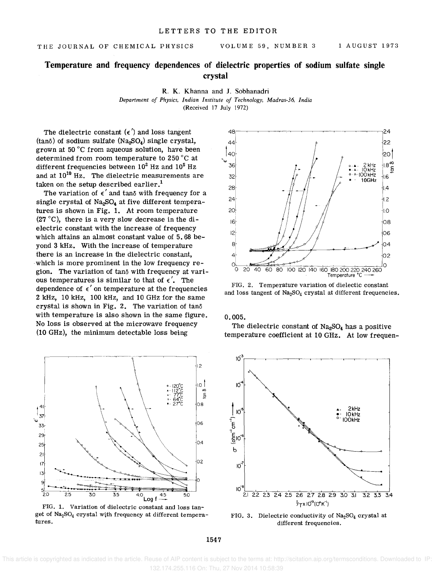## **Temperature and frequency dependences of dielectric properties of sodium sulfate single crystal**

R. K. Khanna and J. Sobhanadri *Department of Physics. Indian Institute of Technology. Madras-36. India*  (Received 17 July 1972)

The dielectric constant  $(\epsilon')$  and loss tangent  $(tan\delta)$  of sodium sulfate (Na<sub>2</sub>SO<sub>4</sub>) single crystal, grown at 50°C from aqueous solution, have been determined from room temperature to 250°C at different frequencies between  $10^2$  Hz and  $10^5$  Hz and at  $10^{10}$  Hz. The dielectric measurements are taken on the setup described earlier.<sup>1</sup>

The variation of  $\epsilon'$  and tan $\delta$  with frequency for a single crystal of  $Na<sub>2</sub>SO<sub>4</sub>$  at five different temperatures is shown in Fig. 1. At room temperature (27°C), there is a very slow decrease in the dielectric constant with the increase of frequency which attains an almost constant value of 5.68 beyond 3 kHz. With the increase of temperature there is an increase in the dielectric constant, which is more prominent in the low frequency region. The variation of  $tan\delta$  with frequency at various temperatures is similar to that of  $\epsilon'$ . The dependence of  $\epsilon'$  on temperature at the frequencies 2 kHz, 10 kHz, 100 kHz, and 10 GHz for the same crystal is shown in Fig. 2. The variation of  $tan\delta$ with temperature is also shown in the same figure. No loss is observed at the microwave frequency (10 GHz), the minimum detectable loss being



FIG. 1. Variation of dielectric constant and loss tanget of  $Na<sub>2</sub>SO<sub>4</sub>$  crystal with frequency at different temperatures.



FIG. 2. Temperature variation of dielectic constant and loss tangent of  $Na<sub>2</sub>SO<sub>4</sub>$  crystal at different frequencies.

0.005.

The dielectric constant of  $Na<sub>2</sub>SO<sub>4</sub>$  has a positive temperature coefficient at 10 GHz. At low frequen-



FIG. 3. Dielectric conductivity of  $Na<sub>2</sub>SO<sub>4</sub>$  crystal at different frequencies.

1547